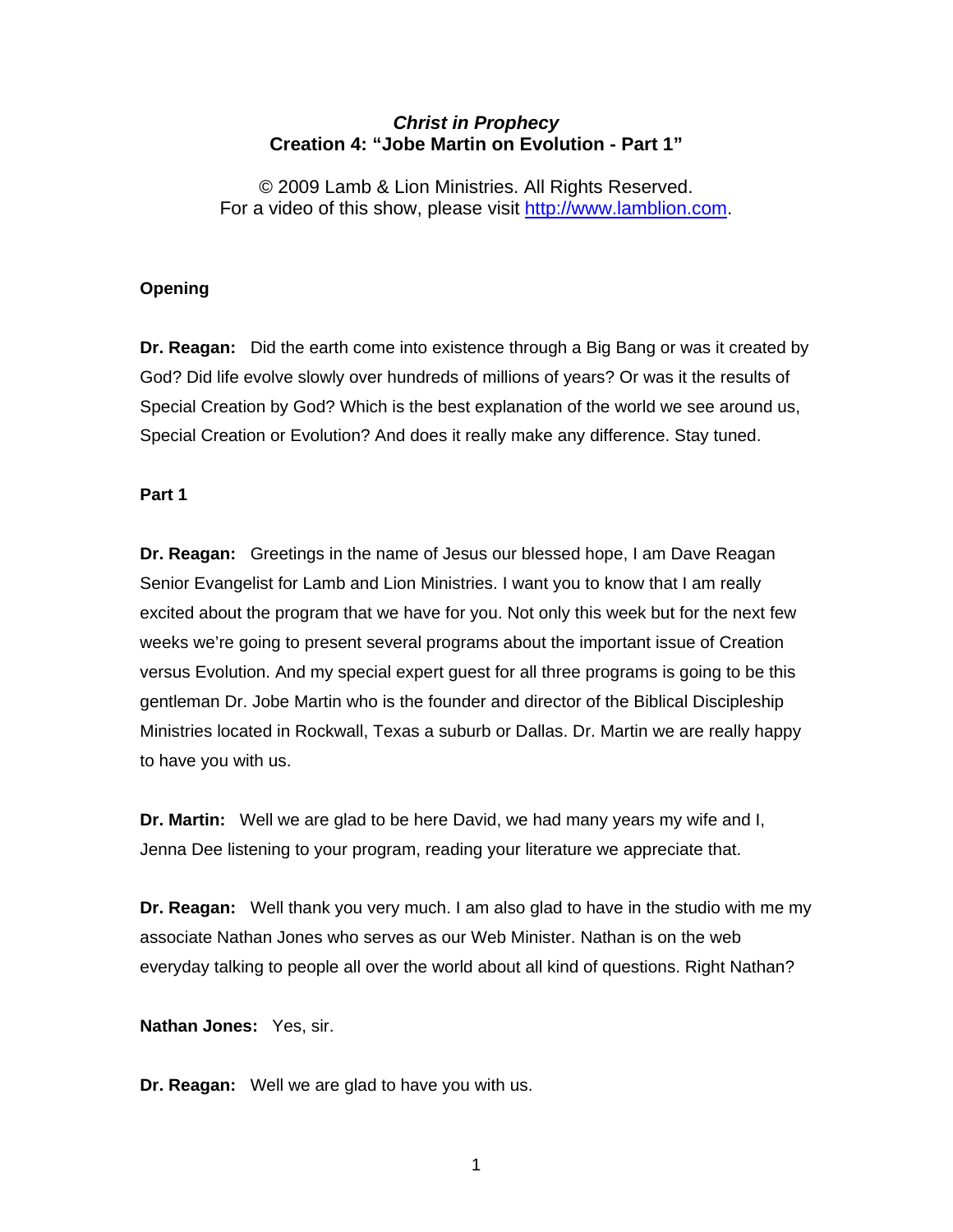# *Christ in Prophecy*  **Creation 4: "Jobe Martin on Evolution - Part 1"**

© 2009 Lamb & Lion Ministries. All Rights Reserved. For a video of this show, please visit [http://www.lamblion.com](http://www.lamblion.com/).

## **Opening**

**Dr. Reagan:** Did the earth come into existence through a Big Bang or was it created by God? Did life evolve slowly over hundreds of millions of years? Or was it the results of Special Creation by God? Which is the best explanation of the world we see around us, Special Creation or Evolution? And does it really make any difference. Stay tuned.

## **Part 1**

**Dr. Reagan:** Greetings in the name of Jesus our blessed hope, I am Dave Reagan Senior Evangelist for Lamb and Lion Ministries. I want you to know that I am really excited about the program that we have for you. Not only this week but for the next few weeks we're going to present several programs about the important issue of Creation versus Evolution. And my special expert guest for all three programs is going to be this gentleman Dr. Jobe Martin who is the founder and director of the Biblical Discipleship Ministries located in Rockwall, Texas a suburb or Dallas. Dr. Martin we are really happy to have you with us.

**Dr. Martin:** Well we are glad to be here David, we had many years my wife and I, Jenna Dee listening to your program, reading your literature we appreciate that.

**Dr. Reagan:** Well thank you very much. I am also glad to have in the studio with me my associate Nathan Jones who serves as our Web Minister. Nathan is on the web everyday talking to people all over the world about all kind of questions. Right Nathan?

**Nathan Jones:** Yes, sir.

**Dr. Reagan:** Well we are glad to have you with us.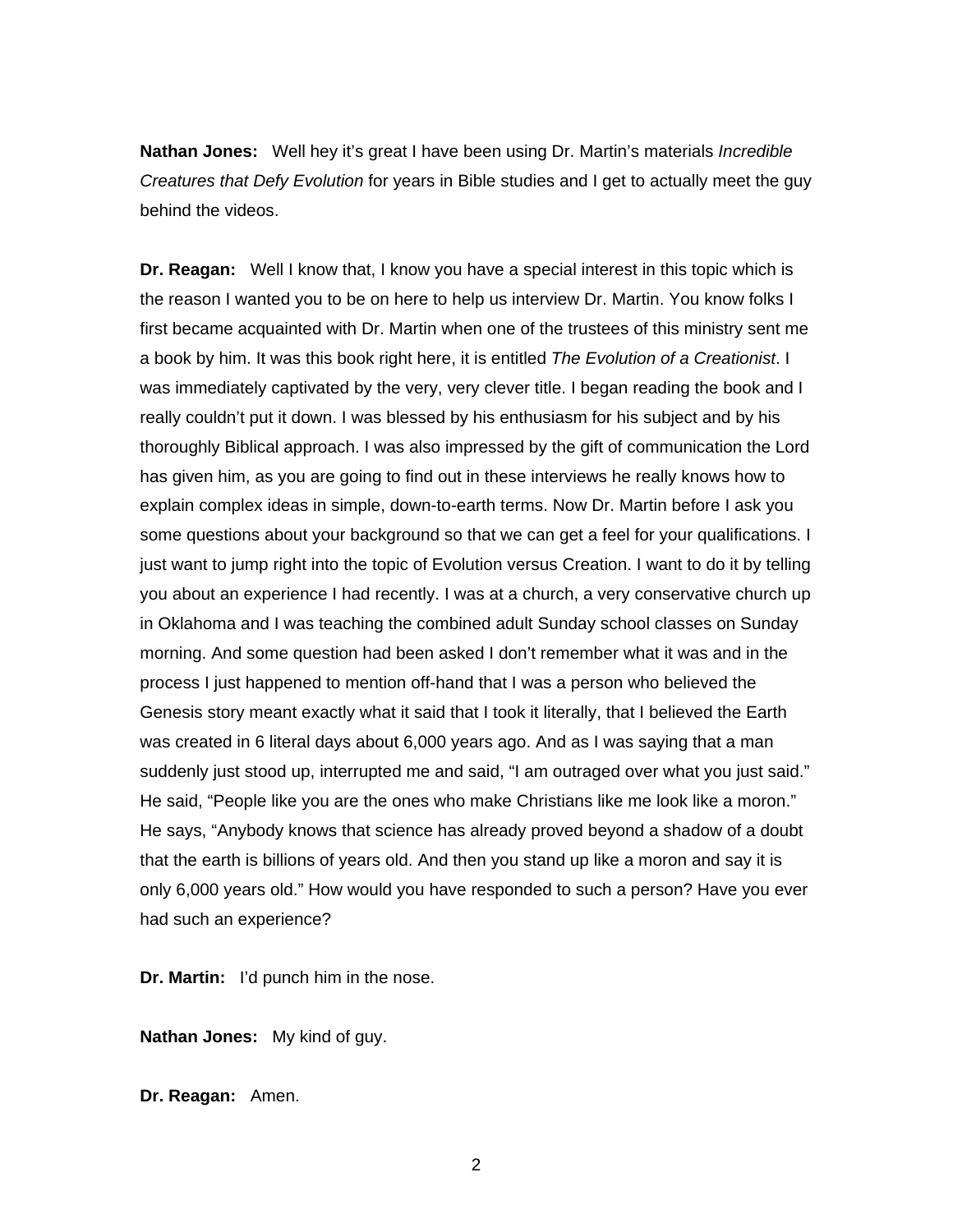**Nathan Jones:** Well hey it's great I have been using Dr. Martin's materials *Incredible Creatures that Defy Evolution* for years in Bible studies and I get to actually meet the guy behind the videos.

**Dr. Reagan:** Well I know that, I know you have a special interest in this topic which is the reason I wanted you to be on here to help us interview Dr. Martin. You know folks I first became acquainted with Dr. Martin when one of the trustees of this ministry sent me a book by him. It was this book right here, it is entitled *The Evolution of a Creationist*. I was immediately captivated by the very, very clever title. I began reading the book and I really couldn't put it down. I was blessed by his enthusiasm for his subject and by his thoroughly Biblical approach. I was also impressed by the gift of communication the Lord has given him, as you are going to find out in these interviews he really knows how to explain complex ideas in simple, down-to-earth terms. Now Dr. Martin before I ask you some questions about your background so that we can get a feel for your qualifications. I just want to jump right into the topic of Evolution versus Creation. I want to do it by telling you about an experience I had recently. I was at a church, a very conservative church up in Oklahoma and I was teaching the combined adult Sunday school classes on Sunday morning. And some question had been asked I don't remember what it was and in the process I just happened to mention off-hand that I was a person who believed the Genesis story meant exactly what it said that I took it literally, that I believed the Earth was created in 6 literal days about 6,000 years ago. And as I was saying that a man suddenly just stood up, interrupted me and said, "I am outraged over what you just said." He said, "People like you are the ones who make Christians like me look like a moron." He says, "Anybody knows that science has already proved beyond a shadow of a doubt that the earth is billions of years old. And then you stand up like a moron and say it is only 6,000 years old." How would you have responded to such a person? Have you ever had such an experience?

**Dr. Martin:** I'd punch him in the nose.

**Nathan Jones:** My kind of guy.

**Dr. Reagan:** Amen.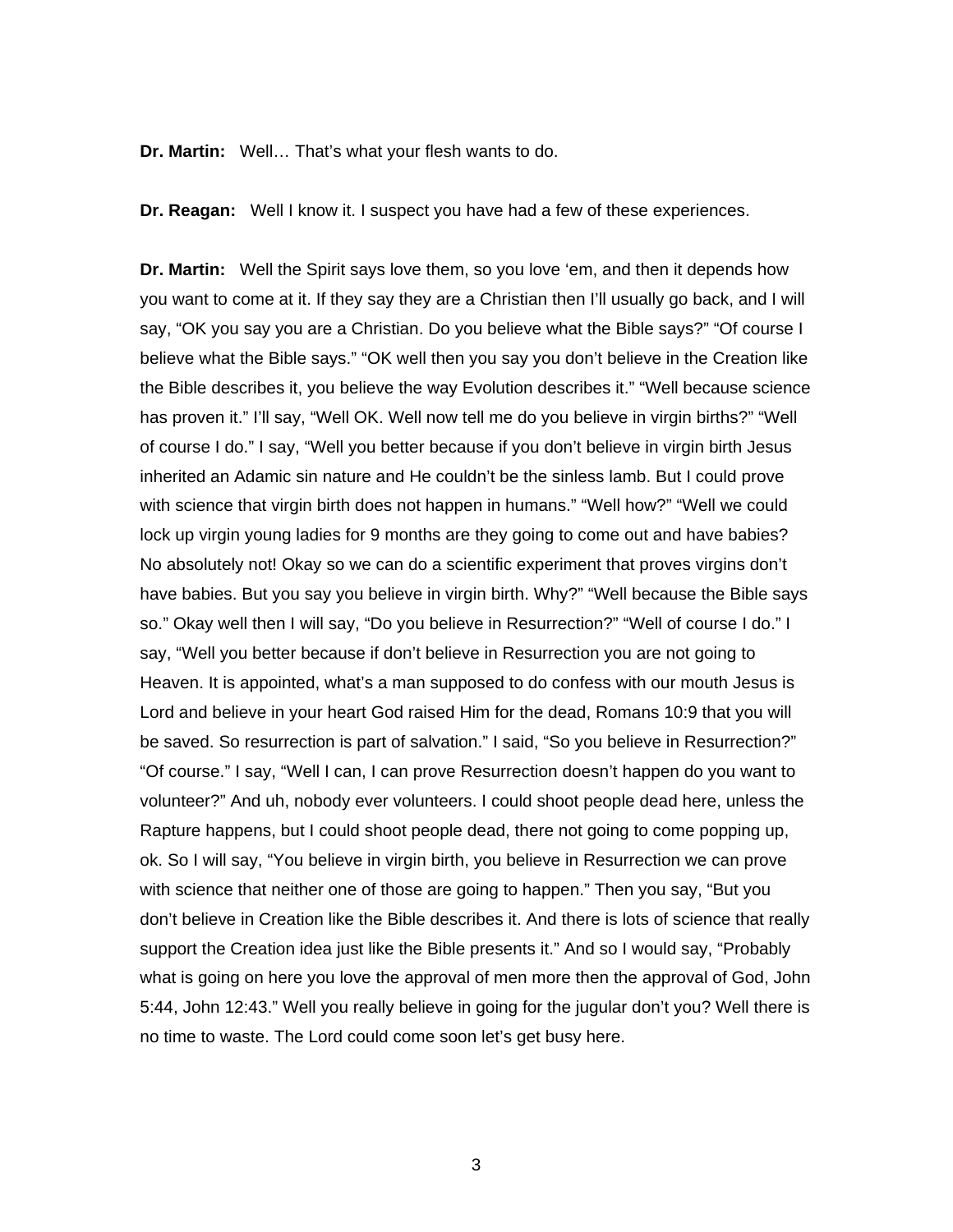**Dr. Martin:** Well… That's what your flesh wants to do.

**Dr. Reagan:** Well I know it. I suspect you have had a few of these experiences.

**Dr. Martin:** Well the Spirit says love them, so you love 'em, and then it depends how you want to come at it. If they say they are a Christian then I'll usually go back, and I will say, "OK you say you are a Christian. Do you believe what the Bible says?" "Of course I believe what the Bible says." "OK well then you say you don't believe in the Creation like the Bible describes it, you believe the way Evolution describes it." "Well because science has proven it." I'll say, "Well OK. Well now tell me do you believe in virgin births?" "Well of course I do." I say, "Well you better because if you don't believe in virgin birth Jesus inherited an Adamic sin nature and He couldn't be the sinless lamb. But I could prove with science that virgin birth does not happen in humans." "Well how?" "Well we could lock up virgin young ladies for 9 months are they going to come out and have babies? No absolutely not! Okay so we can do a scientific experiment that proves virgins don't have babies. But you say you believe in virgin birth. Why?" "Well because the Bible says so." Okay well then I will say, "Do you believe in Resurrection?" "Well of course I do." I say, "Well you better because if don't believe in Resurrection you are not going to Heaven. It is appointed, what's a man supposed to do confess with our mouth Jesus is Lord and believe in your heart God raised Him for the dead, Romans 10:9 that you will be saved. So resurrection is part of salvation." I said, "So you believe in Resurrection?" "Of course." I say, "Well I can, I can prove Resurrection doesn't happen do you want to volunteer?" And uh, nobody ever volunteers. I could shoot people dead here, unless the Rapture happens, but I could shoot people dead, there not going to come popping up, ok. So I will say, "You believe in virgin birth, you believe in Resurrection we can prove with science that neither one of those are going to happen." Then you say, "But you don't believe in Creation like the Bible describes it. And there is lots of science that really support the Creation idea just like the Bible presents it." And so I would say, "Probably what is going on here you love the approval of men more then the approval of God, John 5:44, John 12:43." Well you really believe in going for the jugular don't you? Well there is no time to waste. The Lord could come soon let's get busy here.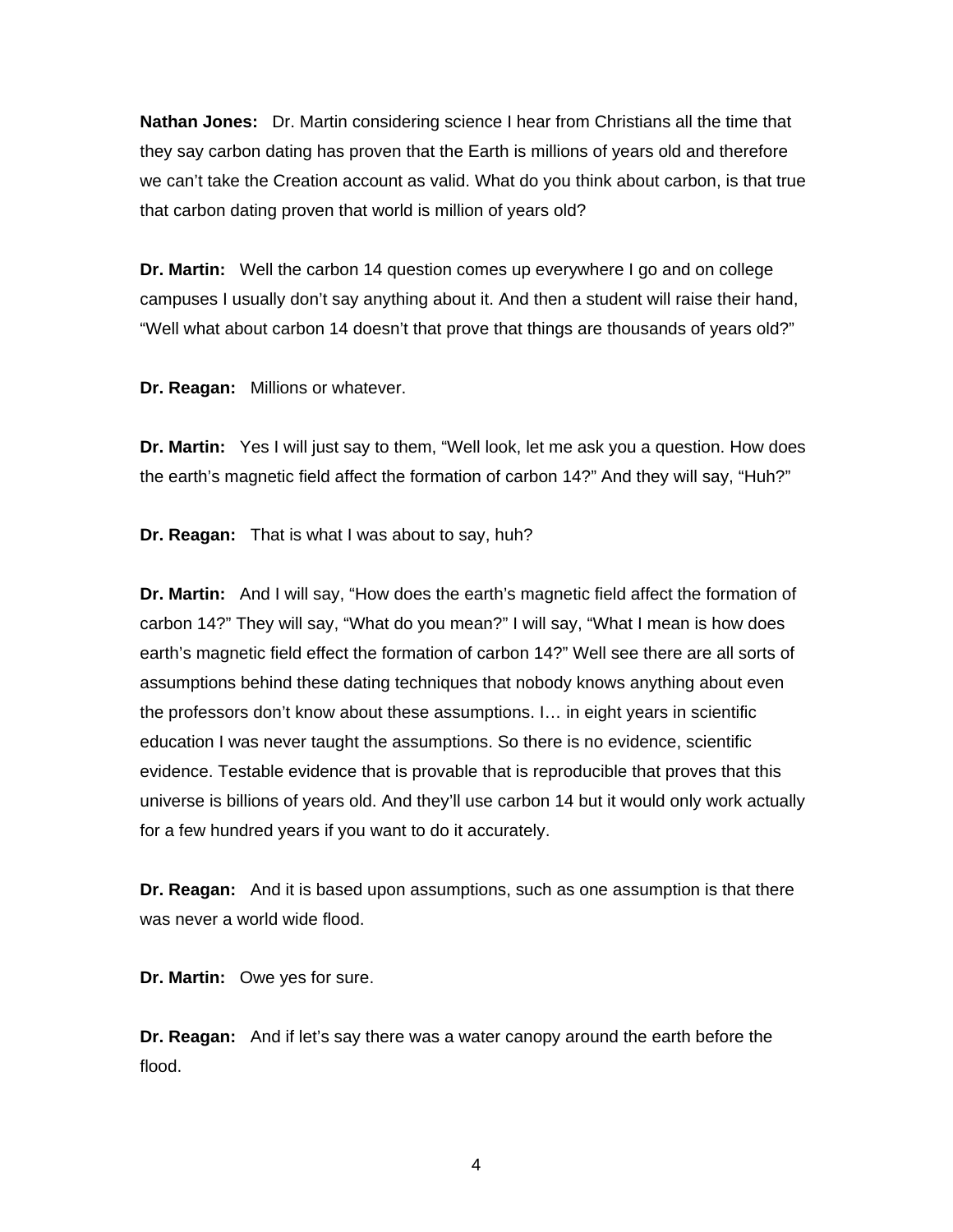**Nathan Jones:** Dr. Martin considering science I hear from Christians all the time that they say carbon dating has proven that the Earth is millions of years old and therefore we can't take the Creation account as valid. What do you think about carbon, is that true that carbon dating proven that world is million of years old?

**Dr. Martin:** Well the carbon 14 question comes up everywhere I go and on college campuses I usually don't say anything about it. And then a student will raise their hand, "Well what about carbon 14 doesn't that prove that things are thousands of years old?"

**Dr. Reagan:** Millions or whatever.

**Dr. Martin:** Yes I will just say to them, "Well look, let me ask you a question. How does the earth's magnetic field affect the formation of carbon 14?" And they will say, "Huh?"

**Dr. Reagan:** That is what I was about to say, huh?

**Dr. Martin:** And I will say, "How does the earth's magnetic field affect the formation of carbon 14?" They will say, "What do you mean?" I will say, "What I mean is how does earth's magnetic field effect the formation of carbon 14?" Well see there are all sorts of assumptions behind these dating techniques that nobody knows anything about even the professors don't know about these assumptions. I… in eight years in scientific education I was never taught the assumptions. So there is no evidence, scientific evidence. Testable evidence that is provable that is reproducible that proves that this universe is billions of years old. And they'll use carbon 14 but it would only work actually for a few hundred years if you want to do it accurately.

**Dr. Reagan:** And it is based upon assumptions, such as one assumption is that there was never a world wide flood.

**Dr. Martin:** Owe yes for sure.

**Dr. Reagan:** And if let's say there was a water canopy around the earth before the flood.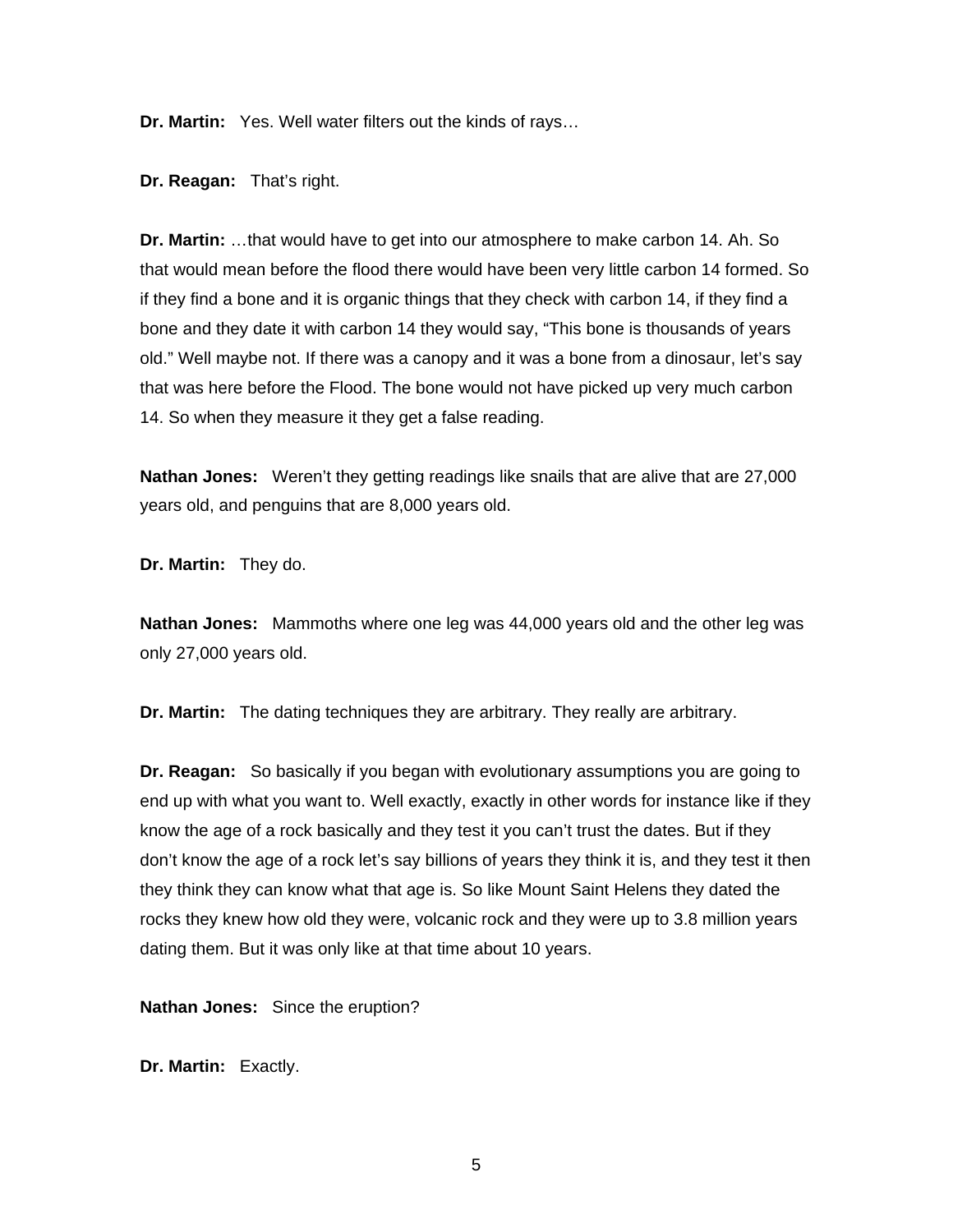**Dr. Martin:** Yes. Well water filters out the kinds of rays…

**Dr. Reagan:** That's right.

**Dr. Martin:** …that would have to get into our atmosphere to make carbon 14. Ah. So that would mean before the flood there would have been very little carbon 14 formed. So if they find a bone and it is organic things that they check with carbon 14, if they find a bone and they date it with carbon 14 they would say, "This bone is thousands of years old." Well maybe not. If there was a canopy and it was a bone from a dinosaur, let's say that was here before the Flood. The bone would not have picked up very much carbon 14. So when they measure it they get a false reading.

**Nathan Jones:** Weren't they getting readings like snails that are alive that are 27,000 years old, and penguins that are 8,000 years old.

**Dr. Martin:** They do.

**Nathan Jones:** Mammoths where one leg was 44,000 years old and the other leg was only 27,000 years old.

**Dr. Martin:** The dating techniques they are arbitrary. They really are arbitrary.

**Dr. Reagan:** So basically if you began with evolutionary assumptions you are going to end up with what you want to. Well exactly, exactly in other words for instance like if they know the age of a rock basically and they test it you can't trust the dates. But if they don't know the age of a rock let's say billions of years they think it is, and they test it then they think they can know what that age is. So like Mount Saint Helens they dated the rocks they knew how old they were, volcanic rock and they were up to 3.8 million years dating them. But it was only like at that time about 10 years.

**Nathan Jones:** Since the eruption?

**Dr. Martin:** Exactly.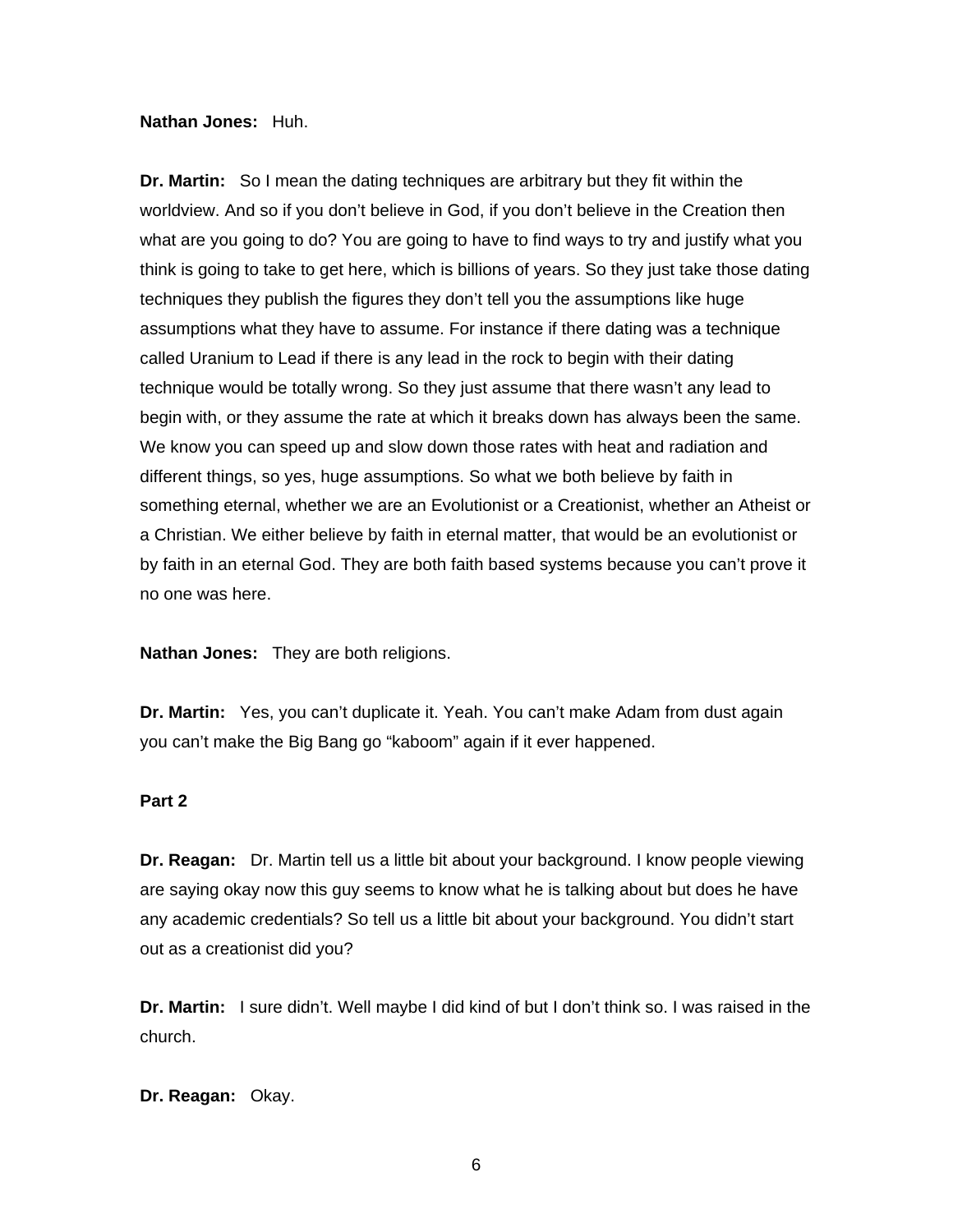#### **Nathan Jones:** Huh.

**Dr. Martin:** So I mean the dating techniques are arbitrary but they fit within the worldview. And so if you don't believe in God, if you don't believe in the Creation then what are you going to do? You are going to have to find ways to try and justify what you think is going to take to get here, which is billions of years. So they just take those dating techniques they publish the figures they don't tell you the assumptions like huge assumptions what they have to assume. For instance if there dating was a technique called Uranium to Lead if there is any lead in the rock to begin with their dating technique would be totally wrong. So they just assume that there wasn't any lead to begin with, or they assume the rate at which it breaks down has always been the same. We know you can speed up and slow down those rates with heat and radiation and different things, so yes, huge assumptions. So what we both believe by faith in something eternal, whether we are an Evolutionist or a Creationist, whether an Atheist or a Christian. We either believe by faith in eternal matter, that would be an evolutionist or by faith in an eternal God. They are both faith based systems because you can't prove it no one was here.

**Nathan Jones:** They are both religions.

**Dr. Martin:** Yes, you can't duplicate it. Yeah. You can't make Adam from dust again you can't make the Big Bang go "kaboom" again if it ever happened.

### **Part 2**

**Dr. Reagan:** Dr. Martin tell us a little bit about your background. I know people viewing are saying okay now this guy seems to know what he is talking about but does he have any academic credentials? So tell us a little bit about your background. You didn't start out as a creationist did you?

**Dr. Martin:** I sure didn't. Well maybe I did kind of but I don't think so. I was raised in the church.

**Dr. Reagan:** Okay.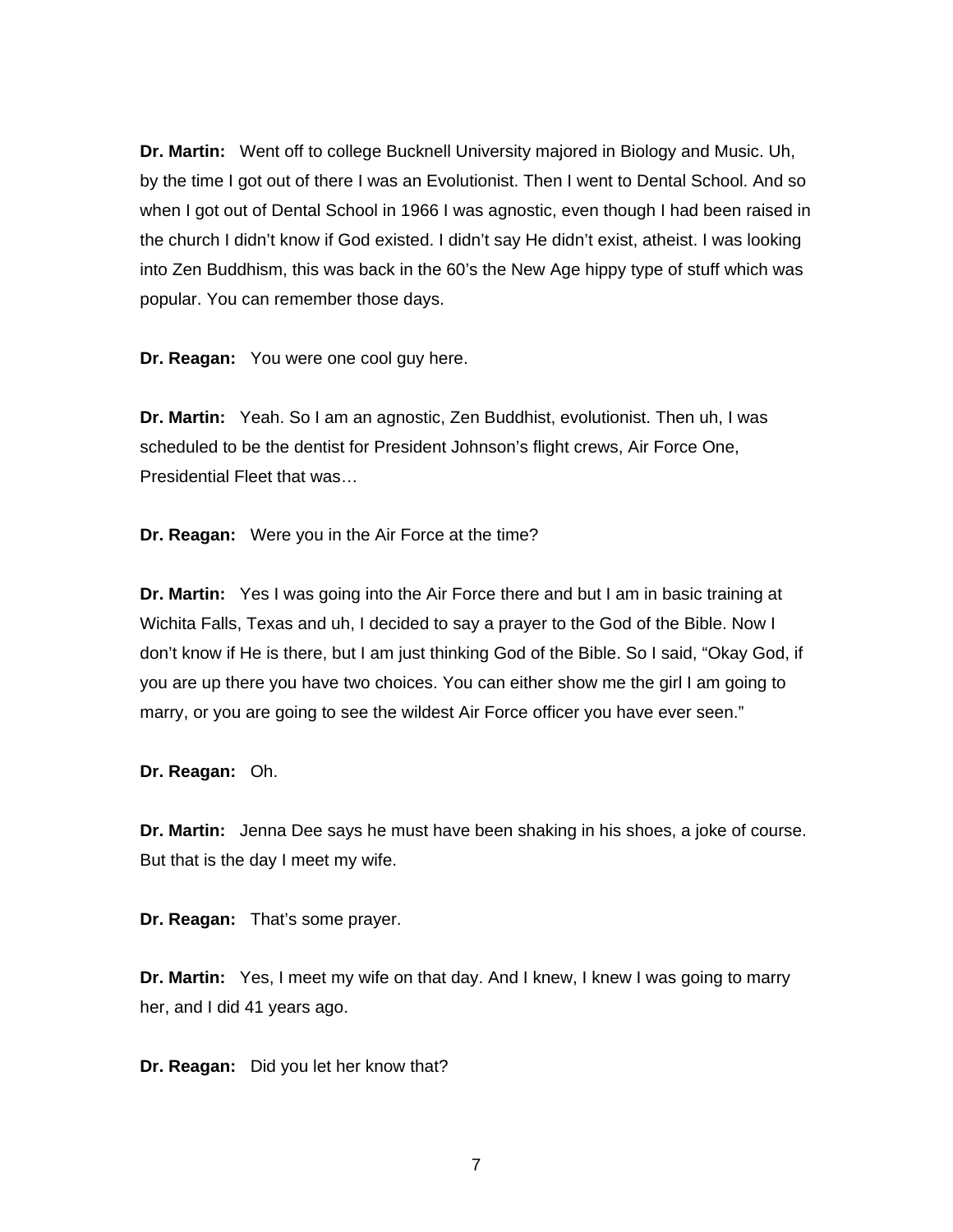**Dr. Martin:** Went off to college Bucknell University majored in Biology and Music. Uh, by the time I got out of there I was an Evolutionist. Then I went to Dental School. And so when I got out of Dental School in 1966 I was agnostic, even though I had been raised in the church I didn't know if God existed. I didn't say He didn't exist, atheist. I was looking into Zen Buddhism, this was back in the 60's the New Age hippy type of stuff which was popular. You can remember those days.

**Dr. Reagan:** You were one cool guy here.

**Dr. Martin:** Yeah. So I am an agnostic, Zen Buddhist, evolutionist. Then uh, I was scheduled to be the dentist for President Johnson's flight crews, Air Force One, Presidential Fleet that was…

**Dr. Reagan:** Were you in the Air Force at the time?

**Dr. Martin:** Yes I was going into the Air Force there and but I am in basic training at Wichita Falls, Texas and uh, I decided to say a prayer to the God of the Bible. Now I don't know if He is there, but I am just thinking God of the Bible. So I said, "Okay God, if you are up there you have two choices. You can either show me the girl I am going to marry, or you are going to see the wildest Air Force officer you have ever seen."

**Dr. Reagan:** Oh.

**Dr. Martin:** Jenna Dee says he must have been shaking in his shoes, a joke of course. But that is the day I meet my wife.

**Dr. Reagan:** That's some prayer.

**Dr. Martin:** Yes, I meet my wife on that day. And I knew, I knew I was going to marry her, and I did 41 years ago.

**Dr. Reagan:** Did you let her know that?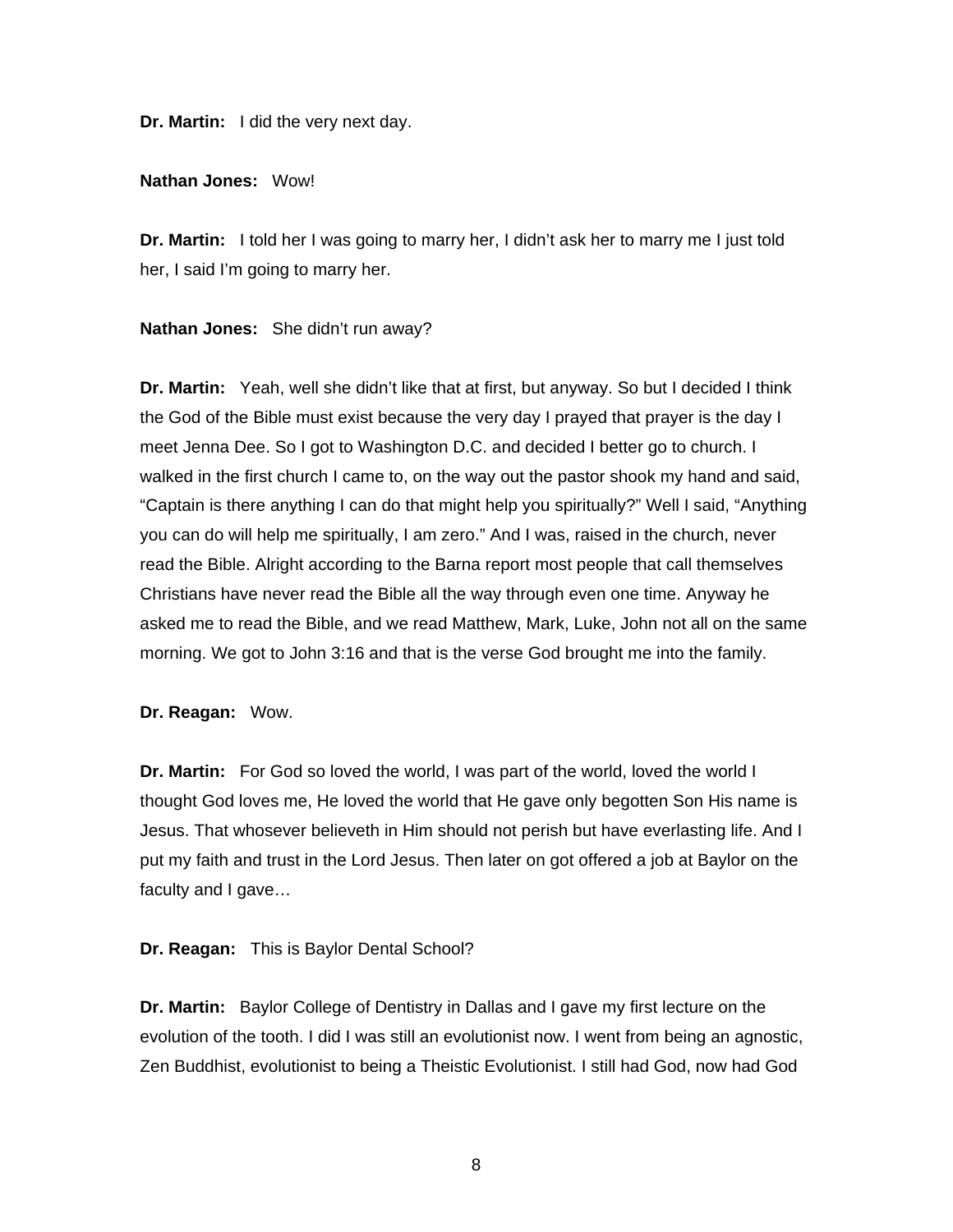**Dr. Martin:** I did the very next day.

**Nathan Jones:** Wow!

**Dr. Martin:** I told her I was going to marry her, I didn't ask her to marry me I just told her, I said I'm going to marry her.

**Nathan Jones:** She didn't run away?

**Dr. Martin:** Yeah, well she didn't like that at first, but anyway. So but I decided I think the God of the Bible must exist because the very day I prayed that prayer is the day I meet Jenna Dee. So I got to Washington D.C. and decided I better go to church. I walked in the first church I came to, on the way out the pastor shook my hand and said, "Captain is there anything I can do that might help you spiritually?" Well I said, "Anything you can do will help me spiritually, I am zero." And I was, raised in the church, never read the Bible. Alright according to the Barna report most people that call themselves Christians have never read the Bible all the way through even one time. Anyway he asked me to read the Bible, and we read Matthew, Mark, Luke, John not all on the same morning. We got to John 3:16 and that is the verse God brought me into the family.

**Dr. Reagan:** Wow.

**Dr. Martin:** For God so loved the world, I was part of the world, loved the world I thought God loves me, He loved the world that He gave only begotten Son His name is Jesus. That whosever believeth in Him should not perish but have everlasting life. And I put my faith and trust in the Lord Jesus. Then later on got offered a job at Baylor on the faculty and I gave…

**Dr. Reagan:** This is Baylor Dental School?

**Dr. Martin:** Baylor College of Dentistry in Dallas and I gave my first lecture on the evolution of the tooth. I did I was still an evolutionist now. I went from being an agnostic, Zen Buddhist, evolutionist to being a Theistic Evolutionist. I still had God, now had God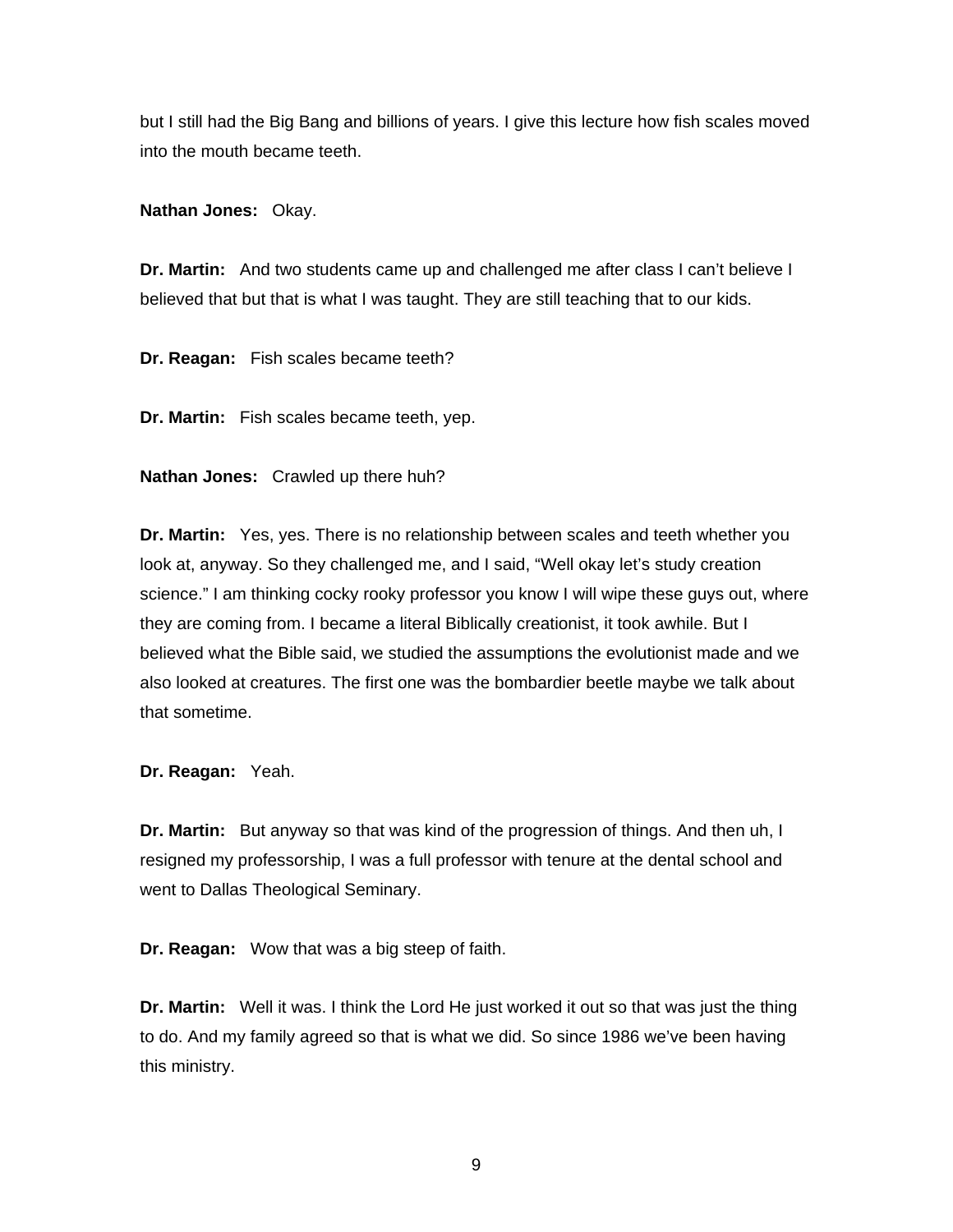but I still had the Big Bang and billions of years. I give this lecture how fish scales moved into the mouth became teeth.

**Nathan Jones:** Okay.

**Dr. Martin:** And two students came up and challenged me after class I can't believe I believed that but that is what I was taught. They are still teaching that to our kids.

**Dr. Reagan:** Fish scales became teeth?

**Dr. Martin:** Fish scales became teeth, yep.

**Nathan Jones:** Crawled up there huh?

**Dr. Martin:** Yes, yes. There is no relationship between scales and teeth whether you look at, anyway. So they challenged me, and I said, "Well okay let's study creation science." I am thinking cocky rooky professor you know I will wipe these guys out, where they are coming from. I became a literal Biblically creationist, it took awhile. But I believed what the Bible said, we studied the assumptions the evolutionist made and we also looked at creatures. The first one was the bombardier beetle maybe we talk about that sometime.

**Dr. Reagan:** Yeah.

**Dr. Martin:** But anyway so that was kind of the progression of things. And then uh, I resigned my professorship, I was a full professor with tenure at the dental school and went to Dallas Theological Seminary.

**Dr. Reagan:** Wow that was a big steep of faith.

**Dr. Martin:** Well it was. I think the Lord He just worked it out so that was just the thing to do. And my family agreed so that is what we did. So since 1986 we've been having this ministry.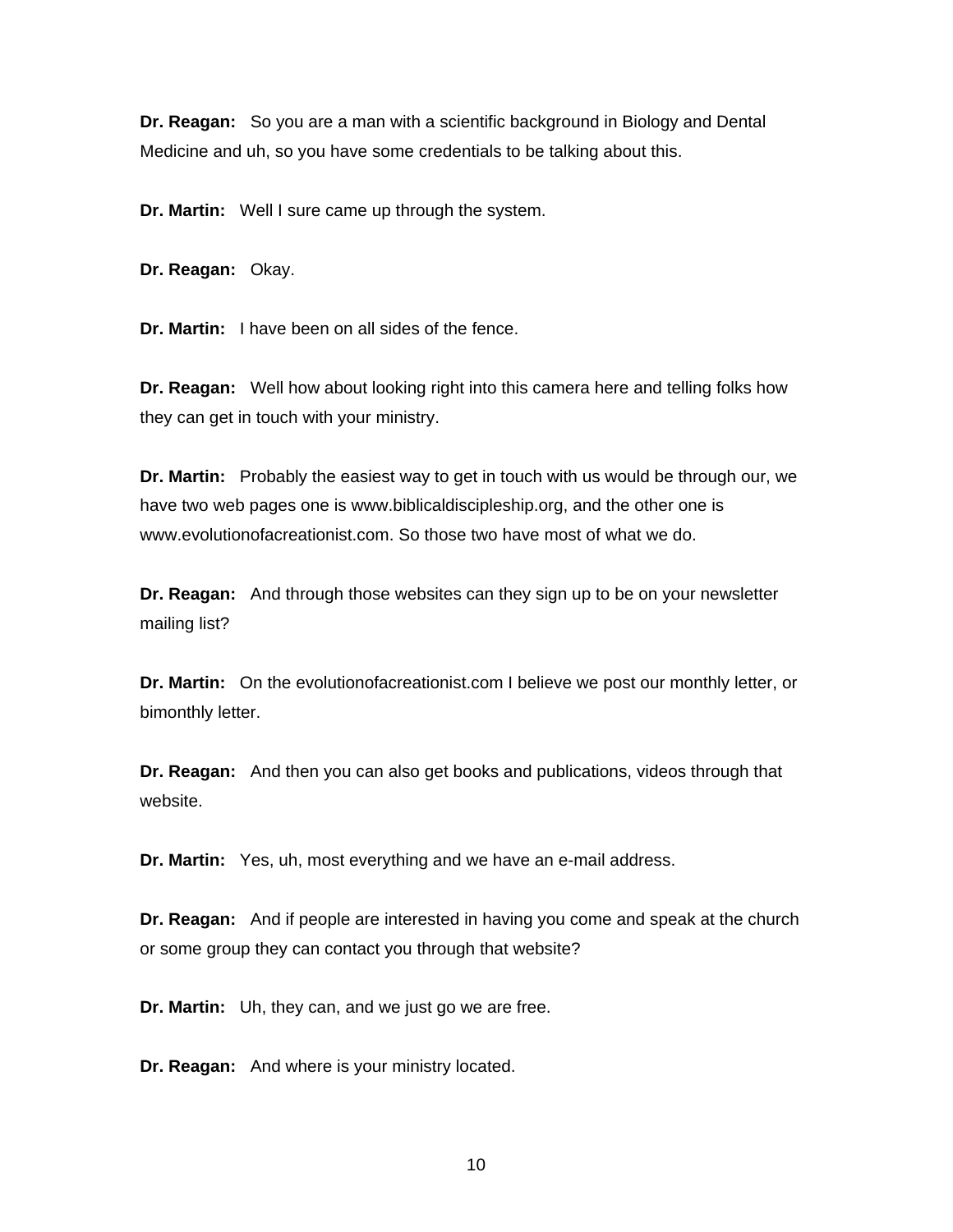**Dr. Reagan:** So you are a man with a scientific background in Biology and Dental Medicine and uh, so you have some credentials to be talking about this.

**Dr. Martin:** Well I sure came up through the system.

**Dr. Reagan:** Okay.

**Dr. Martin:** I have been on all sides of the fence.

**Dr. Reagan:** Well how about looking right into this camera here and telling folks how they can get in touch with your ministry.

**Dr. Martin:** Probably the easiest way to get in touch with us would be through our, we have two web pages one is www.biblicaldiscipleship.org, and the other one is www.evolutionofacreationist.com. So those two have most of what we do.

**Dr. Reagan:** And through those websites can they sign up to be on your newsletter mailing list?

**Dr. Martin:** On the evolutionofacreationist.com I believe we post our monthly letter, or bimonthly letter.

**Dr. Reagan:** And then you can also get books and publications, videos through that website.

**Dr. Martin:** Yes, uh, most everything and we have an e-mail address.

**Dr. Reagan:** And if people are interested in having you come and speak at the church or some group they can contact you through that website?

**Dr. Martin:** Uh, they can, and we just go we are free.

**Dr. Reagan:** And where is your ministry located.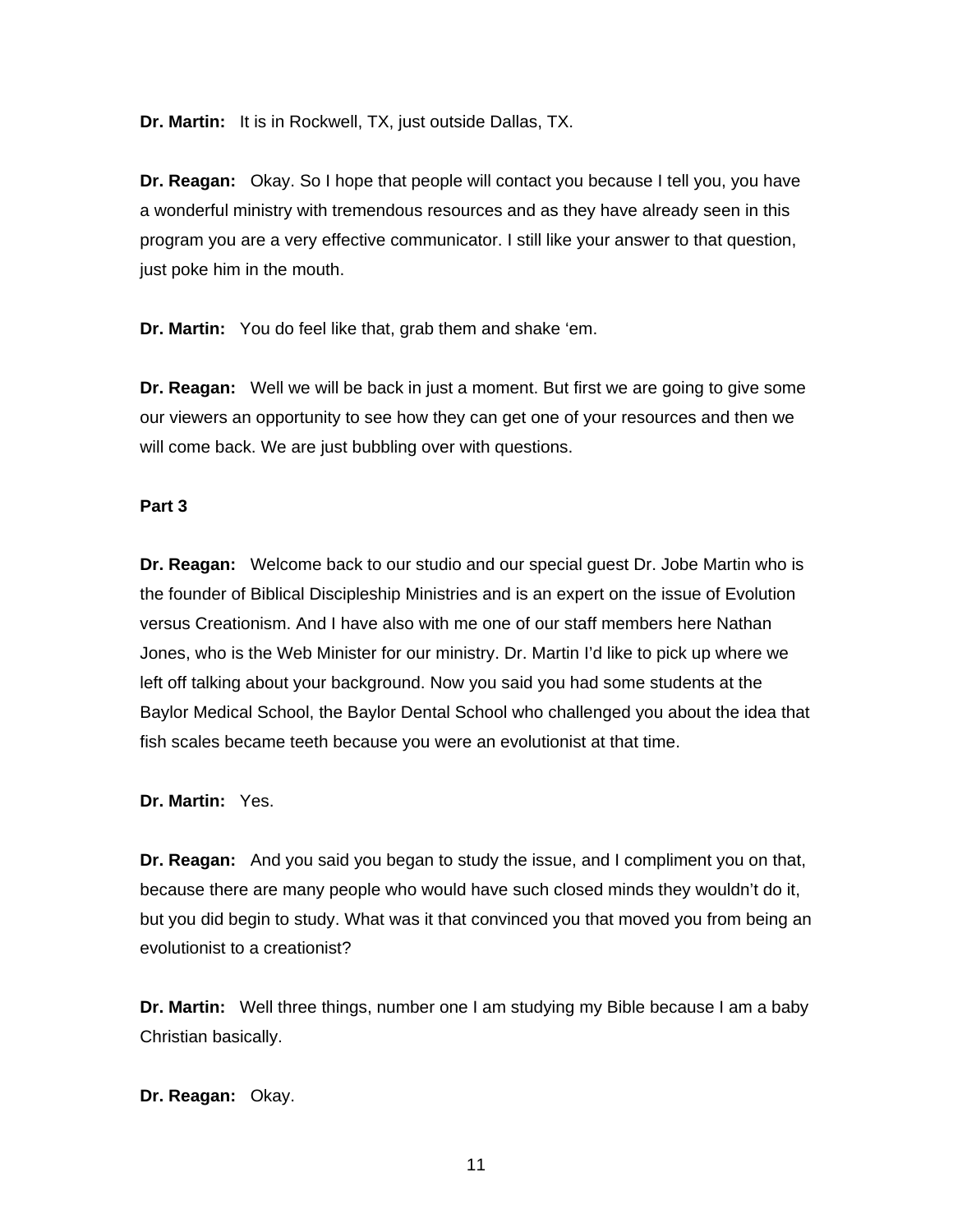**Dr. Martin:** It is in Rockwell, TX, just outside Dallas, TX.

**Dr. Reagan:** Okay. So I hope that people will contact you because I tell you, you have a wonderful ministry with tremendous resources and as they have already seen in this program you are a very effective communicator. I still like your answer to that question, just poke him in the mouth.

**Dr. Martin:** You do feel like that, grab them and shake 'em.

**Dr. Reagan:** Well we will be back in just a moment. But first we are going to give some our viewers an opportunity to see how they can get one of your resources and then we will come back. We are just bubbling over with questions.

## **Part 3**

**Dr. Reagan:** Welcome back to our studio and our special guest Dr. Jobe Martin who is the founder of Biblical Discipleship Ministries and is an expert on the issue of Evolution versus Creationism. And I have also with me one of our staff members here Nathan Jones, who is the Web Minister for our ministry. Dr. Martin I'd like to pick up where we left off talking about your background. Now you said you had some students at the Baylor Medical School, the Baylor Dental School who challenged you about the idea that fish scales became teeth because you were an evolutionist at that time.

**Dr. Martin:** Yes.

**Dr. Reagan:** And you said you began to study the issue, and I compliment you on that, because there are many people who would have such closed minds they wouldn't do it, but you did begin to study. What was it that convinced you that moved you from being an evolutionist to a creationist?

**Dr. Martin:** Well three things, number one I am studying my Bible because I am a baby Christian basically.

**Dr. Reagan:** Okay.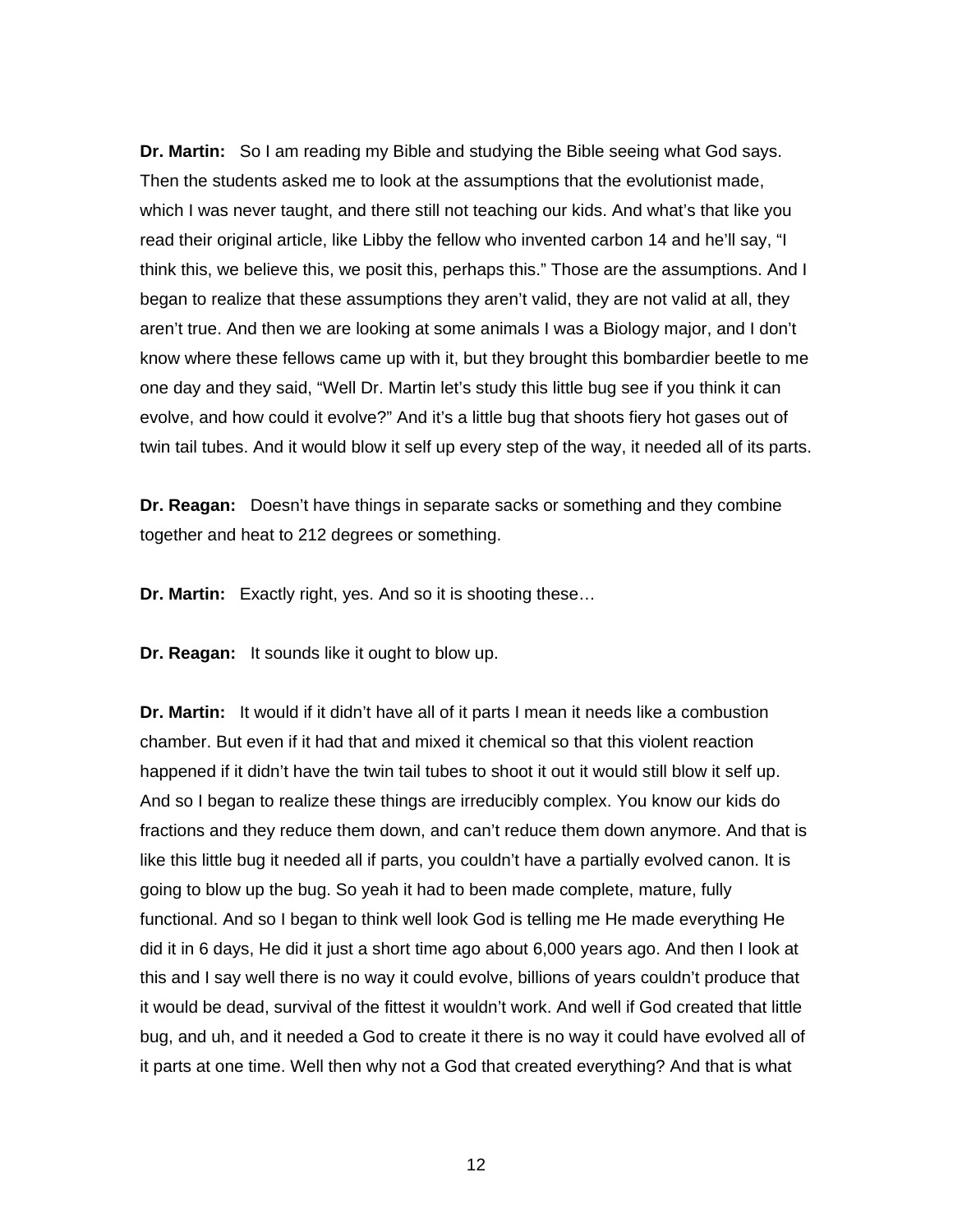**Dr. Martin:** So I am reading my Bible and studying the Bible seeing what God says. Then the students asked me to look at the assumptions that the evolutionist made, which I was never taught, and there still not teaching our kids. And what's that like you read their original article, like Libby the fellow who invented carbon 14 and he'll say, "I think this, we believe this, we posit this, perhaps this." Those are the assumptions. And I began to realize that these assumptions they aren't valid, they are not valid at all, they aren't true. And then we are looking at some animals I was a Biology major, and I don't know where these fellows came up with it, but they brought this bombardier beetle to me one day and they said, "Well Dr. Martin let's study this little bug see if you think it can evolve, and how could it evolve?" And it's a little bug that shoots fiery hot gases out of twin tail tubes. And it would blow it self up every step of the way, it needed all of its parts.

**Dr. Reagan:** Doesn't have things in separate sacks or something and they combine together and heat to 212 degrees or something.

**Dr. Martin:** Exactly right, yes. And so it is shooting these…

**Dr. Reagan:** It sounds like it ought to blow up.

**Dr. Martin:** It would if it didn't have all of it parts I mean it needs like a combustion chamber. But even if it had that and mixed it chemical so that this violent reaction happened if it didn't have the twin tail tubes to shoot it out it would still blow it self up. And so I began to realize these things are irreducibly complex. You know our kids do fractions and they reduce them down, and can't reduce them down anymore. And that is like this little bug it needed all if parts, you couldn't have a partially evolved canon. It is going to blow up the bug. So yeah it had to been made complete, mature, fully functional. And so I began to think well look God is telling me He made everything He did it in 6 days, He did it just a short time ago about 6,000 years ago. And then I look at this and I say well there is no way it could evolve, billions of years couldn't produce that it would be dead, survival of the fittest it wouldn't work. And well if God created that little bug, and uh, and it needed a God to create it there is no way it could have evolved all of it parts at one time. Well then why not a God that created everything? And that is what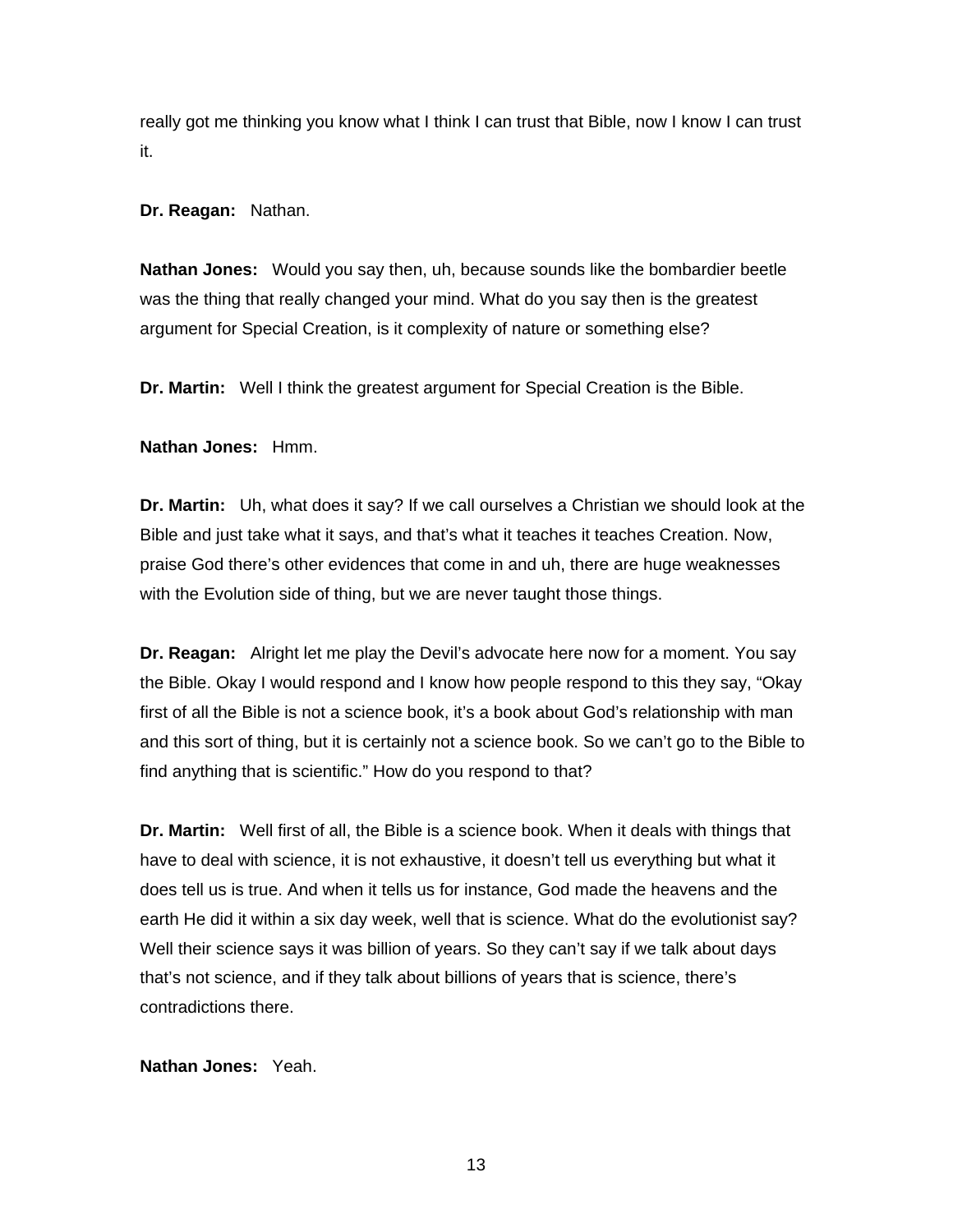really got me thinking you know what I think I can trust that Bible, now I know I can trust it.

**Dr. Reagan:** Nathan.

**Nathan Jones:** Would you say then, uh, because sounds like the bombardier beetle was the thing that really changed your mind. What do you say then is the greatest argument for Special Creation, is it complexity of nature or something else?

**Dr. Martin:** Well I think the greatest argument for Special Creation is the Bible.

**Nathan Jones:** Hmm.

**Dr. Martin:** Uh, what does it say? If we call ourselves a Christian we should look at the Bible and just take what it says, and that's what it teaches it teaches Creation. Now, praise God there's other evidences that come in and uh, there are huge weaknesses with the Evolution side of thing, but we are never taught those things.

**Dr. Reagan:** Alright let me play the Devil's advocate here now for a moment. You say the Bible. Okay I would respond and I know how people respond to this they say, "Okay first of all the Bible is not a science book, it's a book about God's relationship with man and this sort of thing, but it is certainly not a science book. So we can't go to the Bible to find anything that is scientific." How do you respond to that?

**Dr. Martin:** Well first of all, the Bible is a science book. When it deals with things that have to deal with science, it is not exhaustive, it doesn't tell us everything but what it does tell us is true. And when it tells us for instance, God made the heavens and the earth He did it within a six day week, well that is science. What do the evolutionist say? Well their science says it was billion of years. So they can't say if we talk about days that's not science, and if they talk about billions of years that is science, there's contradictions there.

**Nathan Jones:** Yeah.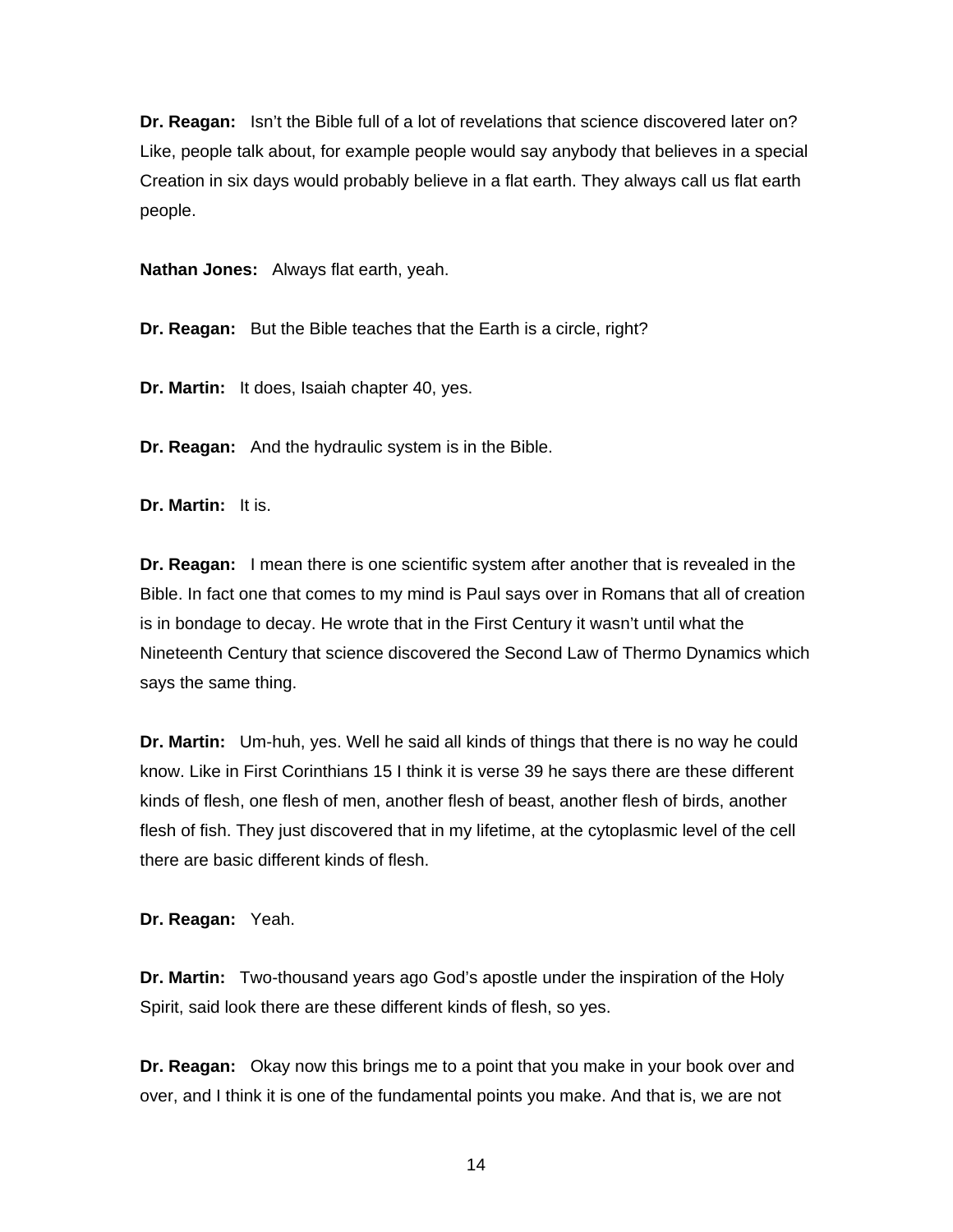**Dr. Reagan:** Isn't the Bible full of a lot of revelations that science discovered later on? Like, people talk about, for example people would say anybody that believes in a special Creation in six days would probably believe in a flat earth. They always call us flat earth people.

**Nathan Jones:** Always flat earth, yeah.

**Dr. Reagan:** But the Bible teaches that the Earth is a circle, right?

**Dr. Martin:** It does, Isaiah chapter 40, yes.

**Dr. Reagan:** And the hydraulic system is in the Bible.

**Dr. Martin:** It is.

**Dr. Reagan:** I mean there is one scientific system after another that is revealed in the Bible. In fact one that comes to my mind is Paul says over in Romans that all of creation is in bondage to decay. He wrote that in the First Century it wasn't until what the Nineteenth Century that science discovered the Second Law of Thermo Dynamics which says the same thing.

**Dr. Martin:** Um-huh, yes. Well he said all kinds of things that there is no way he could know. Like in First Corinthians 15 I think it is verse 39 he says there are these different kinds of flesh, one flesh of men, another flesh of beast, another flesh of birds, another flesh of fish. They just discovered that in my lifetime, at the cytoplasmic level of the cell there are basic different kinds of flesh.

**Dr. Reagan:** Yeah.

**Dr. Martin:** Two-thousand years ago God's apostle under the inspiration of the Holy Spirit, said look there are these different kinds of flesh, so yes.

**Dr. Reagan:** Okay now this brings me to a point that you make in your book over and over, and I think it is one of the fundamental points you make. And that is, we are not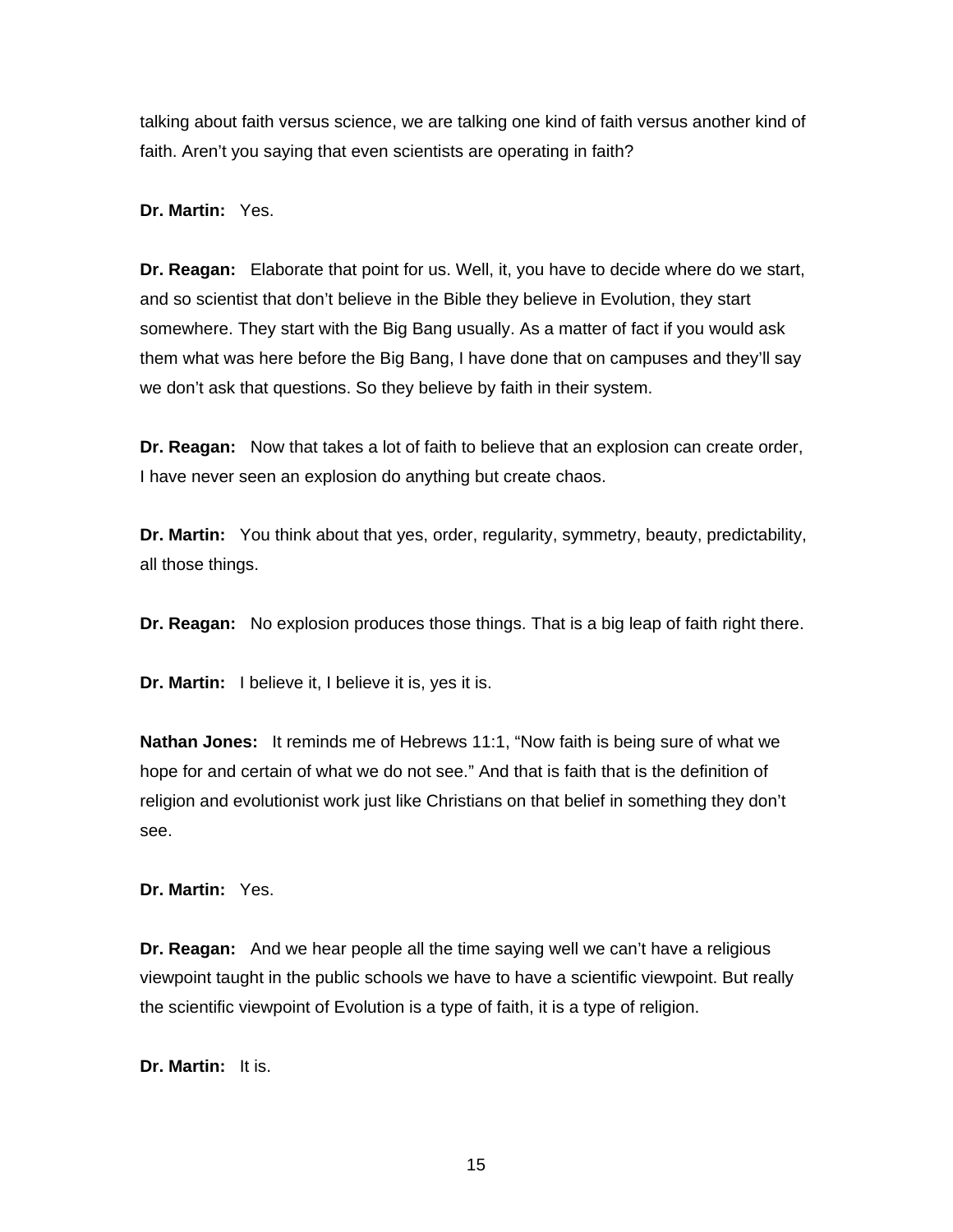talking about faith versus science, we are talking one kind of faith versus another kind of faith. Aren't you saying that even scientists are operating in faith?

**Dr. Martin:** Yes.

**Dr. Reagan:** Elaborate that point for us. Well, it, you have to decide where do we start, and so scientist that don't believe in the Bible they believe in Evolution, they start somewhere. They start with the Big Bang usually. As a matter of fact if you would ask them what was here before the Big Bang, I have done that on campuses and they'll say we don't ask that questions. So they believe by faith in their system.

**Dr. Reagan:** Now that takes a lot of faith to believe that an explosion can create order, I have never seen an explosion do anything but create chaos.

**Dr. Martin:** You think about that yes, order, regularity, symmetry, beauty, predictability, all those things.

**Dr. Reagan:** No explosion produces those things. That is a big leap of faith right there.

**Dr. Martin:** I believe it, I believe it is, yes it is.

**Nathan Jones:** It reminds me of Hebrews 11:1, "Now faith is being sure of what we hope for and certain of what we do not see." And that is faith that is the definition of religion and evolutionist work just like Christians on that belief in something they don't see.

**Dr. Martin:** Yes.

**Dr. Reagan:** And we hear people all the time saying well we can't have a religious viewpoint taught in the public schools we have to have a scientific viewpoint. But really the scientific viewpoint of Evolution is a type of faith, it is a type of religion.

**Dr. Martin:** It is.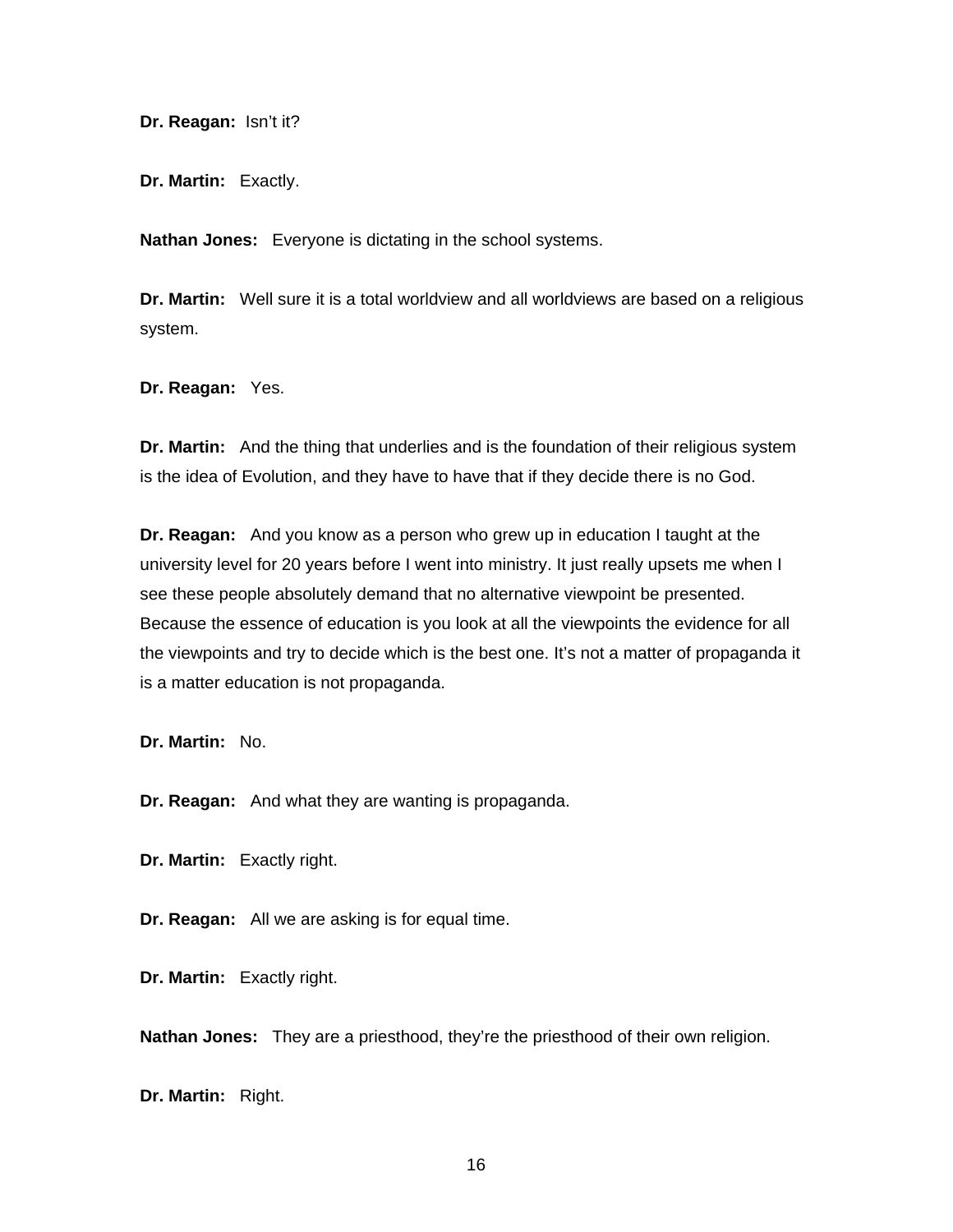**Dr. Reagan:** Isn't it?

**Dr. Martin:** Exactly.

**Nathan Jones:** Everyone is dictating in the school systems.

**Dr. Martin:** Well sure it is a total worldview and all worldviews are based on a religious system.

**Dr. Reagan:** Yes.

**Dr. Martin:** And the thing that underlies and is the foundation of their religious system is the idea of Evolution, and they have to have that if they decide there is no God.

**Dr. Reagan:** And you know as a person who grew up in education I taught at the university level for 20 years before I went into ministry. It just really upsets me when I see these people absolutely demand that no alternative viewpoint be presented. Because the essence of education is you look at all the viewpoints the evidence for all the viewpoints and try to decide which is the best one. It's not a matter of propaganda it is a matter education is not propaganda.

**Dr. Martin:** No.

**Dr. Reagan:** And what they are wanting is propaganda.

**Dr. Martin:** Exactly right.

**Dr. Reagan:** All we are asking is for equal time.

**Dr. Martin:** Exactly right.

**Nathan Jones:** They are a priesthood, they're the priesthood of their own religion.

**Dr. Martin:** Right.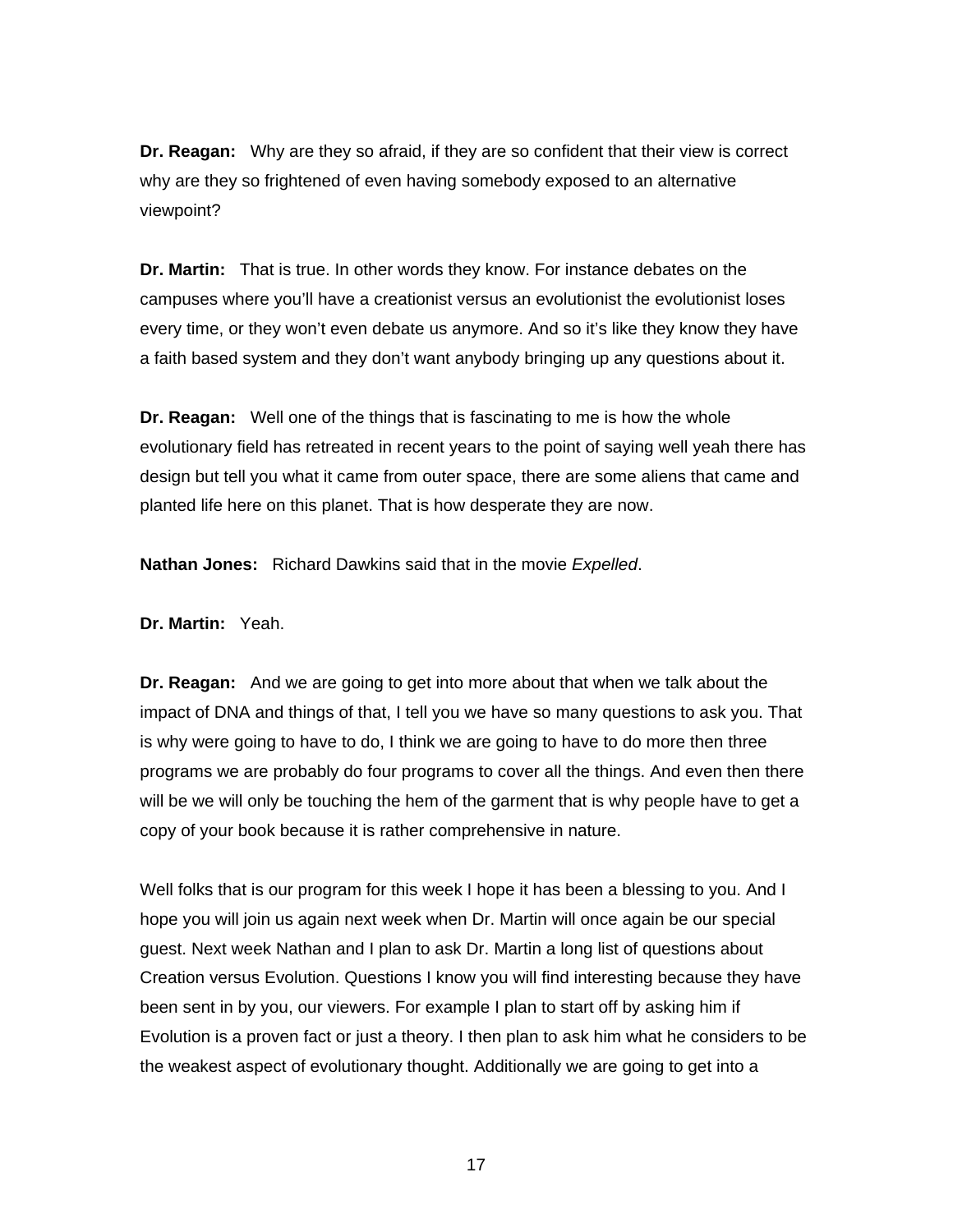**Dr. Reagan:** Why are they so afraid, if they are so confident that their view is correct why are they so frightened of even having somebody exposed to an alternative viewpoint?

**Dr. Martin:** That is true. In other words they know. For instance debates on the campuses where you'll have a creationist versus an evolutionist the evolutionist loses every time, or they won't even debate us anymore. And so it's like they know they have a faith based system and they don't want anybody bringing up any questions about it.

**Dr. Reagan:** Well one of the things that is fascinating to me is how the whole evolutionary field has retreated in recent years to the point of saying well yeah there has design but tell you what it came from outer space, there are some aliens that came and planted life here on this planet. That is how desperate they are now.

**Nathan Jones:** Richard Dawkins said that in the movie *Expelled*.

**Dr. Martin:** Yeah.

**Dr. Reagan:** And we are going to get into more about that when we talk about the impact of DNA and things of that, I tell you we have so many questions to ask you. That is why were going to have to do, I think we are going to have to do more then three programs we are probably do four programs to cover all the things. And even then there will be we will only be touching the hem of the garment that is why people have to get a copy of your book because it is rather comprehensive in nature.

Well folks that is our program for this week I hope it has been a blessing to you. And I hope you will join us again next week when Dr. Martin will once again be our special guest. Next week Nathan and I plan to ask Dr. Martin a long list of questions about Creation versus Evolution. Questions I know you will find interesting because they have been sent in by you, our viewers. For example I plan to start off by asking him if Evolution is a proven fact or just a theory. I then plan to ask him what he considers to be the weakest aspect of evolutionary thought. Additionally we are going to get into a